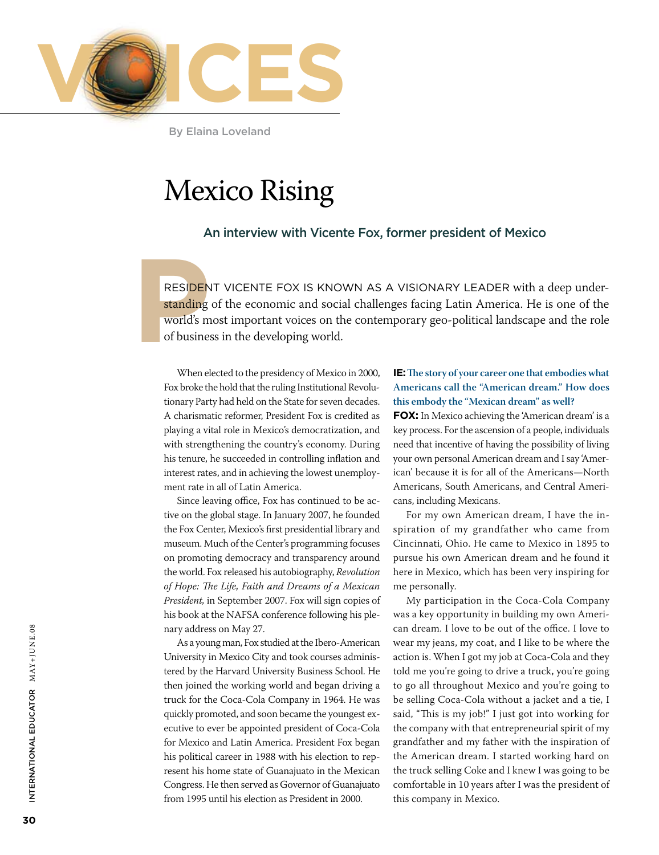

By Elaina Loveland

## Mexico Rising

### An interview with Vicente Fox, former president of Mexico

RESIDEN<br>
standing<br>
world's m<br>
of busine: resident Vicente Fox is known as a visionary leader with a deep understanding of the economic and social challenges facing Latin America. He is one of the world's most important voices on the contemporary geo-political landscape and the role of business in the developing world.

When elected to the presidency of Mexico in 2000, Fox broke the hold that the ruling Institutional Revolutionary Party had held on the State for seven decades. A charismatic reformer, President Fox is credited as playing a vital role in Mexico's democratization, and with strengthening the country's economy. During his tenure, he succeeded in controlling inflation and interest rates, and in achieving the lowest unemployment rate in all of Latin America.

Since leaving office, Fox has continued to be active on the global stage. In January 2007, he founded the Fox Center, Mexico's first presidential library and museum. Much of the Center's programming focuses on promoting democracy and transparency around the world. Fox released his autobiography, *Revolution of Hope: The Life, Faith and Dreams of a Mexican President,* in September 2007. Fox will sign copies of his book at the NAFSA conference following his plenary address on May 27.

As a young man, Fox studied at the Ibero-American University in Mexico City and took courses administered by the Harvard University Business School. He then joined the working world and began driving a truck for the Coca-Cola Company in 1964. He was quickly promoted, and soon became the youngest executive to ever be appointed president of Coca-Cola for Mexico and Latin America. President Fox began his political career in 1988 with his election to represent his home state of Guanajuato in the Mexican Congress. He then served as Governor of Guanajuato from 1995 until his election as President in 2000.

#### **IE: The story of your career one that embodies what Americans call the "American dream." How does this embody the "Mexican dream" as well?**

**Fox:** In Mexico achieving the 'American dream' is a key process. For the ascension of a people, individuals need that incentive of having the possibility of living your own personal American dream and I say 'American' because it is for all of the Americans—North Americans, South Americans, and Central Americans, including Mexicans.

For my own American dream, I have the inspiration of my grandfather who came from Cincinnati, Ohio. He came to Mexico in 1895 to pursue his own American dream and he found it here in Mexico, which has been very inspiring for me personally.

My participation in the Coca-Cola Company was a key opportunity in building my own American dream. I love to be out of the office. I love to wear my jeans, my coat, and I like to be where the action is. When I got my job at Coca-Cola and they told me you're going to drive a truck, you're going to go all throughout Mexico and you're going to be selling Coca-Cola without a jacket and a tie, I said, "This is my job!" I just got into working for the company with that entrepreneurial spirit of my grandfather and my father with the inspiration of the American dream. I started working hard on the truck selling Coke and I knew I was going to be comfortable in 10 years after I was the president of this company in Mexico.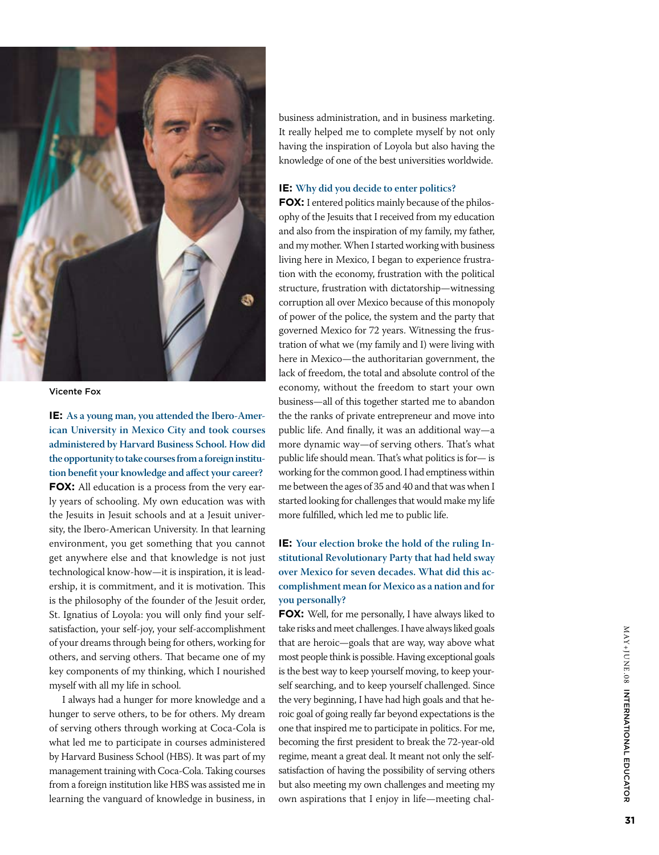

Vicente Fox

**IE: As a young man, you attended the Ibero-American University in Mexico City and took courses administered by Harvard Business School. How did the opportunity to take courses from a foreign institution benefit your knowledge and affect your career? FOX:** All education is a process from the very early years of schooling. My own education was with the Jesuits in Jesuit schools and at a Jesuit university, the Ibero-American University. In that learning environment, you get something that you cannot get anywhere else and that knowledge is not just technological know-how—it is inspiration, it is leadership, it is commitment, and it is motivation. This is the philosophy of the founder of the Jesuit order, St. Ignatius of Loyola: you will only find your selfsatisfaction, your self-joy, your self-accomplishment of your dreams through being for others, working for others, and serving others. That became one of my key components of my thinking, which I nourished myself with all my life in school.

I always had a hunger for more knowledge and a hunger to serve others, to be for others. My dream of serving others through working at Coca-Cola is what led me to participate in courses administered by Harvard Business School (HBS). It was part of my management training with Coca-Cola. Taking courses from a foreign institution like HBS was assisted me in learning the vanguard of knowledge in business, in

business administration, and in business marketing. It really helped me to complete myself by not only having the inspiration of Loyola but also having the knowledge of one of the best universities worldwide.

#### **IE: Why did you decide to enter politics?**

**Fox:** I entered politics mainly because of the philosophy of the Jesuits that I received from my education and also from the inspiration of my family, my father, and my mother. When I started working with business living here in Mexico, I began to experience frustration with the economy, frustration with the political structure, frustration with dictatorship—witnessing corruption all over Mexico because of this monopoly of power of the police, the system and the party that governed Mexico for 72 years. Witnessing the frustration of what we (my family and I) were living with here in Mexico—the authoritarian government, the lack of freedom, the total and absolute control of the economy, without the freedom to start your own business—all of this together started me to abandon the the ranks of private entrepreneur and move into public life. And finally, it was an additional way—a more dynamic way—of serving others. That's what public life should mean. That's what politics is for— is working for the common good. I had emptiness within me between the ages of 35 and 40 and that was when I started looking for challenges that would make my life more fulfilled, which led me to public life.

#### **IE: Your election broke the hold of the ruling Institutional Revolutionary Party that had held sway over Mexico for seven decades. What did this accomplishment mean for Mexico as a nation and for you personally?**

**Fox:** Well, for me personally, I have always liked to take risks and meet challenges. I have always liked goals that are heroic—goals that are way, way above what most people think is possible. Having exceptional goals is the best way to keep yourself moving, to keep yourself searching, and to keep yourself challenged. Since the very beginning, I have had high goals and that heroic goal of going really far beyond expectations is the one that inspired me to participate in politics. For me, becoming the first president to break the 72-year-old regime, meant a great deal. It meant not only the selfsatisfaction of having the possibility of serving others but also meeting my own challenges and meeting my own aspirations that I enjoy in life—meeting chal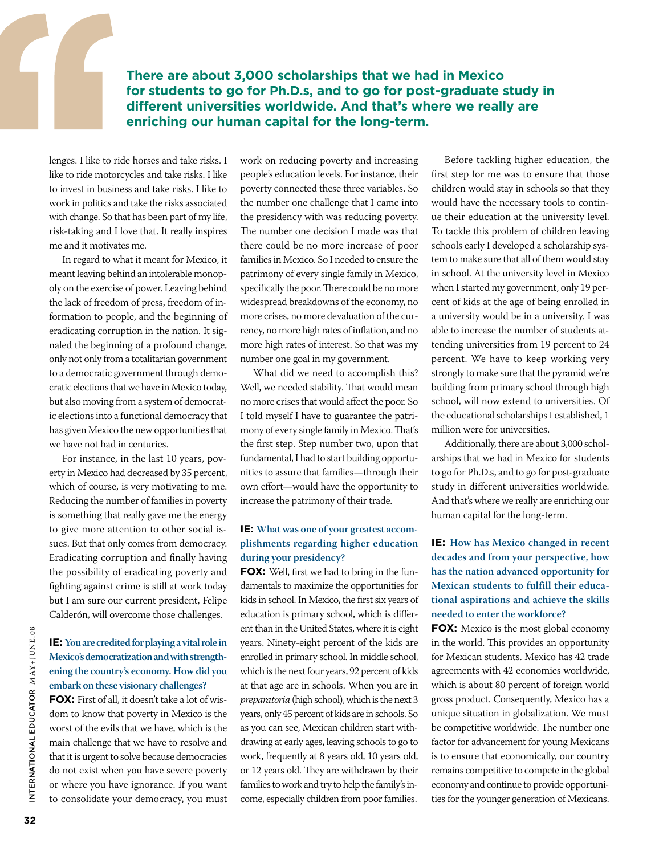**There are about 3,000 scholarships that we had in Mexico for students to go for Ph.D.s, and to go for post-graduate study in different universities worldwide. And that's where we really are enriching our human capital for the long-term.** 

lenges. I like to ride horses and take risks. I like to ride motorcycles and take risks. I like to invest in business and take risks. I like to work in politics and take the risks associated with change. So that has been part of my life, risk-taking and I love that. It really inspires me and it motivates me.

In regard to what it meant for Mexico, it meant leaving behind an intolerable monopoly on the exercise of power. Leaving behind the lack of freedom of press, freedom of information to people, and the beginning of eradicating corruption in the nation. It signaled the beginning of a profound change, only not only from a totalitarian government to a democratic government through democratic elections that we have in Mexico today, but also moving from a system of democratic elections into a functional democracy that has given Mexico the new opportunities that we have not had in centuries.

For instance, in the last 10 years, poverty in Mexico had decreased by 35 percent, which of course, is very motivating to me. Reducing the number of families in poverty is something that really gave me the energy to give more attention to other social issues. But that only comes from democracy. Eradicating corruption and finally having the possibility of eradicating poverty and fighting against crime is still at work today but I am sure our current president, Felipe Calderón, will overcome those challenges.

### **IE: You are credited for playing a vital role in Mexico's democratization and with strengthening the country's economy. How did you embark on these visionary challenges?**

**Fox:** First of all, it doesn't take a lot of wisdom to know that poverty in Mexico is the worst of the evils that we have, which is the main challenge that we have to resolve and that it is urgent to solve because democracies do not exist when you have severe poverty or where you have ignorance. If you want to consolidate your democracy, you must

work on reducing poverty and increasing people's education levels. For instance, their poverty connected these three variables. So the number one challenge that I came into the presidency with was reducing poverty. The number one decision I made was that there could be no more increase of poor families in Mexico. So I needed to ensure the patrimony of every single family in Mexico, specifically the poor. There could be no more widespread breakdowns of the economy, no more crises, no more devaluation of the currency, no more high rates of inflation, and no more high rates of interest. So that was my number one goal in my government.

What did we need to accomplish this? Well, we needed stability. That would mean no more crises that would affect the poor. So I told myself I have to guarantee the patrimony of every single family in Mexico. That's the first step. Step number two, upon that fundamental, I had to start building opportunities to assure that families—through their own effort—would have the opportunity to increase the patrimony of their trade.

#### **IE: What was one of your greatest accomplishments regarding higher education during your presidency?**

**FOX:** Well, first we had to bring in the fundamentals to maximize the opportunities for kids in school. In Mexico, the first six years of education is primary school, which is different than in the United States, where it is eight years. Ninety-eight percent of the kids are enrolled in primary school. In middle school, which is the next four years, 92 percent of kids at that age are in schools. When you are in *preparatoria* (high school), which is the next 3 years, only 45 percent of kids are in schools. So as you can see, Mexican children start withdrawing at early ages, leaving schools to go to work, frequently at 8 years old, 10 years old, or 12 years old. They are withdrawn by their families to work and try to help the family's income, especially children from poor families.

Before tackling higher education, the first step for me was to ensure that those children would stay in schools so that they would have the necessary tools to continue their education at the university level. To tackle this problem of children leaving schools early I developed a scholarship system to make sure that all of them would stay in school. At the university level in Mexico when I started my government, only 19 percent of kids at the age of being enrolled in a university would be in a university. I was able to increase the number of students attending universities from 19 percent to 24 percent. We have to keep working very strongly to make sure that the pyramid we're building from primary school through high school, will now extend to universities. Of the educational scholarships I established, 1 million were for universities.

Additionally, there are about 3,000 scholarships that we had in Mexico for students to go for Ph.D.s, and to go for post-graduate study in different universities worldwide. And that's where we really are enriching our human capital for the long-term.

### **IE: How has Mexico changed in recent decades and from your perspective, how has the nation advanced opportunity for Mexican students to fulfill their educational aspirations and achieve the skills needed to enter the workforce?**

**FOX:** Mexico is the most global economy in the world. This provides an opportunity for Mexican students. Mexico has 42 trade agreements with 42 economies worldwide, which is about 80 percent of foreign world gross product. Consequently, Mexico has a unique situation in globalization. We must be competitive worldwide. The number one factor for advancement for young Mexicans is to ensure that economically, our country remains competitive to compete in the global economy and continue to provide opportunities for the younger generation of Mexicans.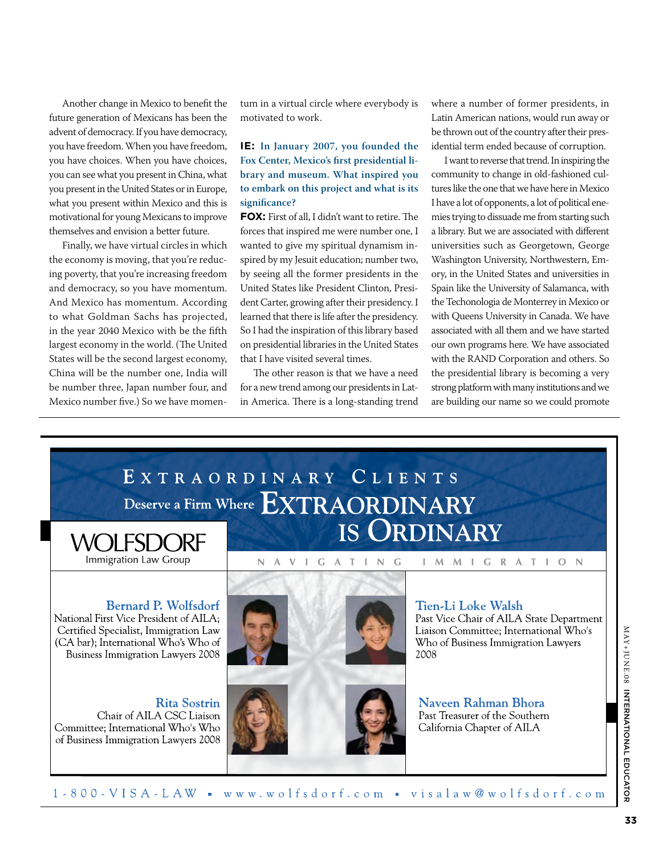Another change in Mexico to benefit the future generation of Mexicans has been the advent of democracy. If you have democracy, you have freedom. When you have freedom, you have choices. When you have choices, you can see what you present in China, what you present in the United States or in Europe, what you present within Mexico and this is motivational for young Mexicans to improve themselves and envision a better future.

Finally, we have virtual circles in which the economy is moving, that you're reducing poverty, that you're increasing freedom and democracy, so you have momentum. And Mexico has momentum. According to what Goldman Sachs has projected, in the year 2040 Mexico with be the fifth largest economy in the world. (The United States will be the second largest economy, China will be the number one, India will be number three, Japan number four, and Mexico number five.) So we have momentum in a virtual circle where everybody is motivated to work.

#### **IE: In January 2007, you founded the Fox Center, Mexico's first presidential library and museum. What inspired you to embark on this project and what is its significance?**

**Fox:** First of all, I didn't want to retire. The forces that inspired me were number one, I wanted to give my spiritual dynamism inspired by my Jesuit education; number two, by seeing all the former presidents in the United States like President Clinton, President Carter, growing after their presidency. I learned that there is life after the presidency. So I had the inspiration of this library based on presidential libraries in the United States that I have visited several times.

The other reason is that we have a need for a new trend among our presidents in Latin America. There is a long-standing trend where a number of former presidents, in Latin American nations, would run away or be thrown out of the country after their presidential term ended because of corruption.

I want to reverse that trend. In inspiring the community to change in old-fashioned cultures like the one that we have here in Mexico I have a lot of opponents, a lot of political enemies trying to dissuade me from starting such a library. But we are associated with different universities such as Georgetown, George Washington University, Northwestern, Emory, in the United States and universities in Spain like the University of Salamanca, with the Techonologia de Monterrey in Mexico or with Queens University in Canada. We have associated with all them and we have started our own programs here. We have associated with the RAND Corporation and others. So the presidential library is becoming a very strong platform with many institutions and we are building our name so we could promote